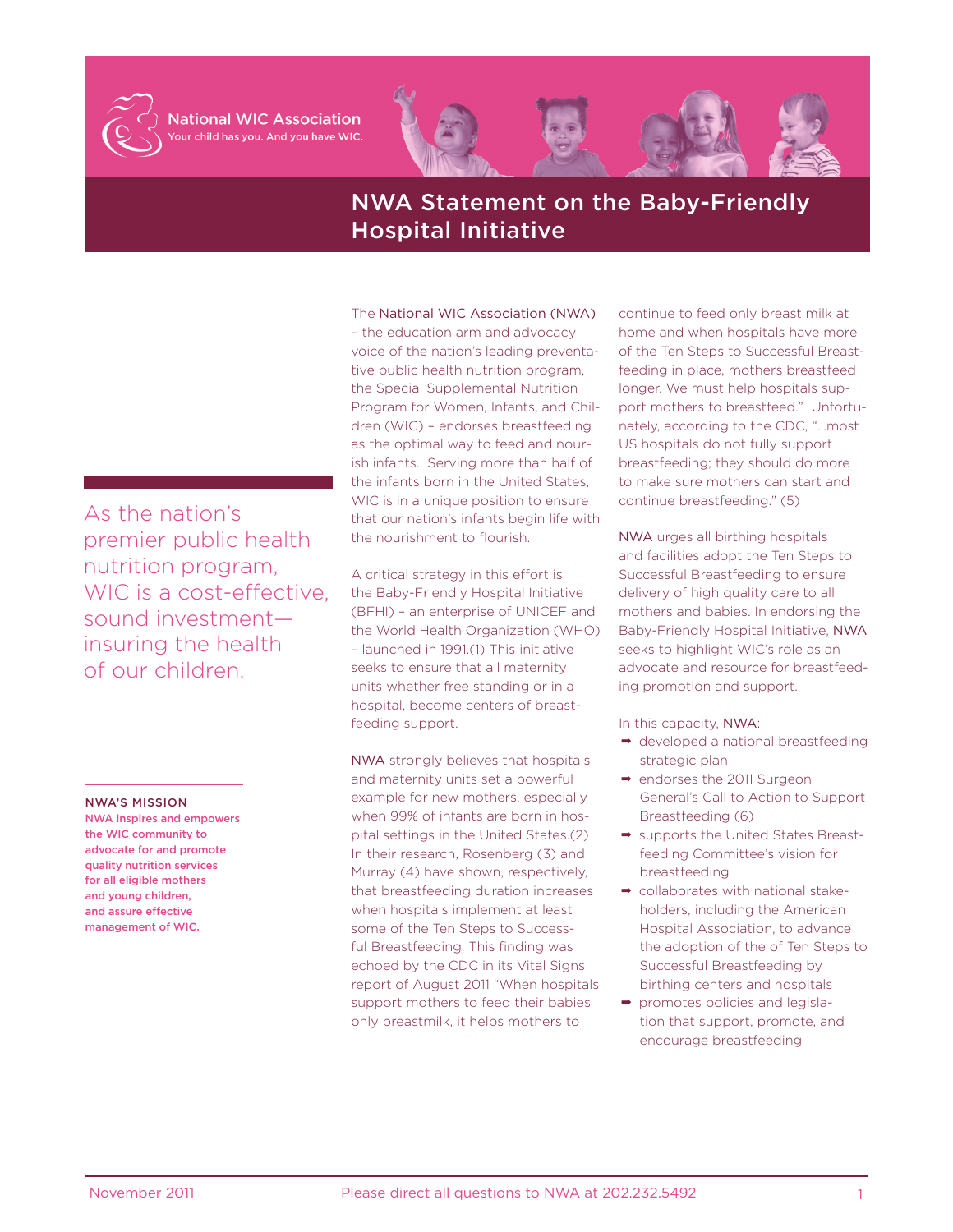

**National WIC Association** our child has you. And you have WIC.



## NWA Statement on the Baby-Friendly Hospital Initiative

As the nation's premier public health nutrition program, WIC is a cost-effective, sound investment insuring the health of our children.

## NWA'S MISSION

NWA inspires and empowers the WIC community to advocate for and promote quality nutrition services for all eligible mothers and young children, and assure effective management of WIC.

The National WIC Association (NWA) – the education arm and advocacy voice of the nation's leading preventative public health nutrition program, the Special Supplemental Nutrition Program for Women, Infants, and Children (WIC) – endorses breastfeeding as the optimal way to feed and nourish infants. Serving more than half of the infants born in the United States, WIC is in a unique position to ensure that our nation's infants begin life with the nourishment to flourish.

A critical strategy in this effort is the Baby-Friendly Hospital Initiative (BFHI) – an enterprise of UNICEF and the World Health Organization (WHO) – launched in 1991.(1) This initiative seeks to ensure that all maternity units whether free standing or in a hospital, become centers of breastfeeding support.

NWA strongly believes that hospitals and maternity units set a powerful example for new mothers, especially when 99% of infants are born in hospital settings in the United States.(2) In their research, Rosenberg (3) and Murray (4) have shown, respectively, that breastfeeding duration increases when hospitals implement at least some of the Ten Steps to Successful Breastfeeding. This finding was echoed by the CDC in its Vital Signs report of August 2011 "When hospitals support mothers to feed their babies only breastmilk, it helps mothers to

continue to feed only breast milk at home and when hospitals have more of the Ten Steps to Successful Breastfeeding in place, mothers breastfeed longer. We must help hospitals support mothers to breastfeed." Unfortunately, according to the CDC, "…most US hospitals do not fully support breastfeeding; they should do more to make sure mothers can start and continue breastfeeding." (5)

NWA urges all birthing hospitals and facilities adopt the Ten Steps to Successful Breastfeeding to ensure delivery of high quality care to all mothers and babies. In endorsing the Baby-Friendly Hospital Initiative, NWA seeks to highlight WIC's role as an advocate and resource for breastfeeding promotion and support.

In this capacity, NWA:

- $\rightarrow$  developed a national breastfeeding strategic plan
- → endorses the 2011 Surgeon General's Call to Action to Support Breastfeeding (6)
- **→** supports the United States Breastfeeding Committee's vision for breastfeeding
- ollaborates with national stakeholders, including the American Hospital Association, to advance the adoption of the of Ten Steps to Successful Breastfeeding by birthing centers and hospitals
- → promotes policies and legislation that support, promote, and encourage breastfeeding